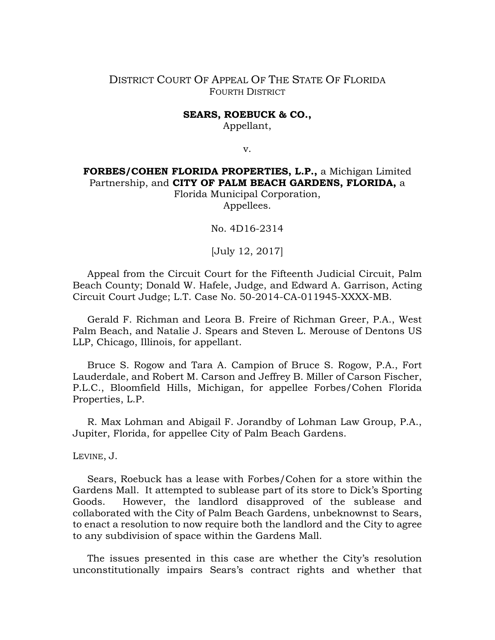# DISTRICT COURT OF APPEAL OF THE STATE OF FLORIDA FOURTH DISTRICT

#### **SEARS, ROEBUCK & CO.,**

Appellant,

v.

# **FORBES/COHEN FLORIDA PROPERTIES, L.P.,** a Michigan Limited Partnership, and **CITY OF PALM BEACH GARDENS, FLORIDA,** a

Florida Municipal Corporation, Appellees.

No. 4D16-2314

[July 12, 2017]

Appeal from the Circuit Court for the Fifteenth Judicial Circuit, Palm Beach County; Donald W. Hafele, Judge, and Edward A. Garrison, Acting Circuit Court Judge; L.T. Case No. 50-2014-CA-011945-XXXX-MB.

Gerald F. Richman and Leora B. Freire of Richman Greer, P.A., West Palm Beach, and Natalie J. Spears and Steven L. Merouse of Dentons US LLP, Chicago, Illinois, for appellant.

Bruce S. Rogow and Tara A. Campion of Bruce S. Rogow, P.A., Fort Lauderdale, and Robert M. Carson and Jeffrey B. Miller of Carson Fischer, P.L.C., Bloomfield Hills, Michigan, for appellee Forbes/Cohen Florida Properties, L.P.

R. Max Lohman and Abigail F. Jorandby of Lohman Law Group, P.A., Jupiter, Florida, for appellee City of Palm Beach Gardens.

LEVINE, J.

Sears, Roebuck has a lease with Forbes/Cohen for a store within the Gardens Mall. It attempted to sublease part of its store to Dick's Sporting Goods. However, the landlord disapproved of the sublease and collaborated with the City of Palm Beach Gardens, unbeknownst to Sears, to enact a resolution to now require both the landlord and the City to agree to any subdivision of space within the Gardens Mall.

The issues presented in this case are whether the City's resolution unconstitutionally impairs Sears's contract rights and whether that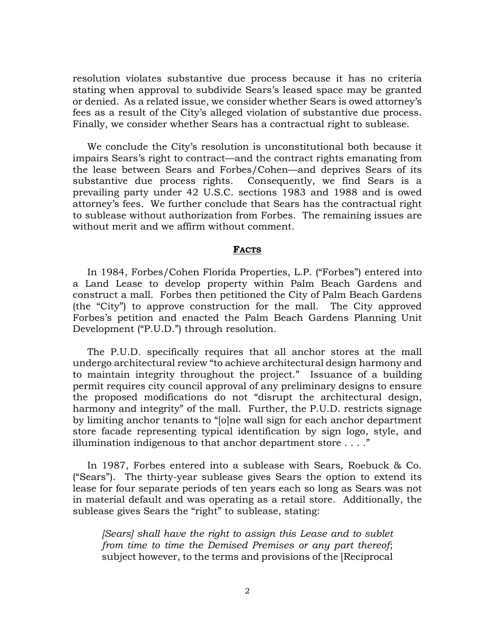resolution violates substantive due process because it has no criteria stating when approval to subdivide Sears's leased space may be granted or denied. As a related issue, we consider whether Sears is owed attorney's fees as a result of the City's alleged violation of substantive due process. Finally, we consider whether Sears has a contractual right to sublease.

We conclude the City's resolution is unconstitutional both because it impairs Sears's right to contract—and the contract rights emanating from the lease between Sears and Forbes/Cohen—and deprives Sears of its substantive due process rights. Consequently, we find Sears is a prevailing party under 42 U.S.C. sections 1983 and 1988 and is owed attorney's fees. We further conclude that Sears has the contractual right to sublease without authorization from Forbes. The remaining issues are without merit and we affirm without comment.

#### **FACTS**

In 1984, Forbes/Cohen Florida Properties, L.P. ("Forbes") entered into a Land Lease to develop property within Palm Beach Gardens and construct a mall. Forbes then petitioned the City of Palm Beach Gardens (the "City") to approve construction for the mall. The City approved Forbes's petition and enacted the Palm Beach Gardens Planning Unit Development ("P.U.D.") through resolution.

The P.U.D. specifically requires that all anchor stores at the mall undergo architectural review "to achieve architectural design harmony and to maintain integrity throughout the project." Issuance of a building permit requires city council approval of any preliminary designs to ensure the proposed modifications do not "disrupt the architectural design, harmony and integrity" of the mall. Further, the P.U.D. restricts signage by limiting anchor tenants to "[o]ne wall sign for each anchor department store facade representing typical identification by sign logo, style, and illumination indigenous to that anchor department store . . . ."

In 1987, Forbes entered into a sublease with Sears, Roebuck & Co. ("Sears"). The thirty-year sublease gives Sears the option to extend its lease for four separate periods of ten years each so long as Sears was not in material default and was operating as a retail store. Additionally, the sublease gives Sears the "right" to sublease, stating:

*[Sears] shall have the right to assign this Lease and to sublet from time to time the Demised Premises or any part thereof*; subject however, to the terms and provisions of the [Reciprocal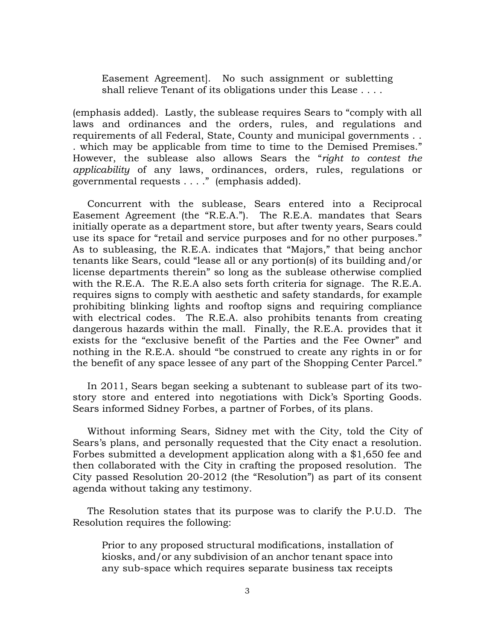Easement Agreement]. No such assignment or subletting shall relieve Tenant of its obligations under this Lease . . . .

(emphasis added). Lastly, the sublease requires Sears to "comply with all laws and ordinances and the orders, rules, and regulations and requirements of all Federal, State, County and municipal governments . . . which may be applicable from time to time to the Demised Premises." However, the sublease also allows Sears the "*right to contest the applicability* of any laws, ordinances, orders, rules, regulations or governmental requests . . . ." (emphasis added).

Concurrent with the sublease, Sears entered into a Reciprocal Easement Agreement (the "R.E.A."). The R.E.A. mandates that Sears initially operate as a department store, but after twenty years, Sears could use its space for "retail and service purposes and for no other purposes." As to subleasing, the R.E.A. indicates that "Majors," that being anchor tenants like Sears, could "lease all or any portion(s) of its building and/or license departments therein" so long as the sublease otherwise complied with the R.E.A. The R.E.A also sets forth criteria for signage. The R.E.A. requires signs to comply with aesthetic and safety standards, for example prohibiting blinking lights and rooftop signs and requiring compliance with electrical codes. The R.E.A. also prohibits tenants from creating dangerous hazards within the mall. Finally, the R.E.A. provides that it exists for the "exclusive benefit of the Parties and the Fee Owner" and nothing in the R.E.A. should "be construed to create any rights in or for the benefit of any space lessee of any part of the Shopping Center Parcel."

In 2011, Sears began seeking a subtenant to sublease part of its twostory store and entered into negotiations with Dick's Sporting Goods. Sears informed Sidney Forbes, a partner of Forbes, of its plans.

Without informing Sears, Sidney met with the City, told the City of Sears's plans, and personally requested that the City enact a resolution. Forbes submitted a development application along with a \$1,650 fee and then collaborated with the City in crafting the proposed resolution. The City passed Resolution 20-2012 (the "Resolution") as part of its consent agenda without taking any testimony.

The Resolution states that its purpose was to clarify the P.U.D. The Resolution requires the following:

Prior to any proposed structural modifications, installation of kiosks, and/or any subdivision of an anchor tenant space into any sub-space which requires separate business tax receipts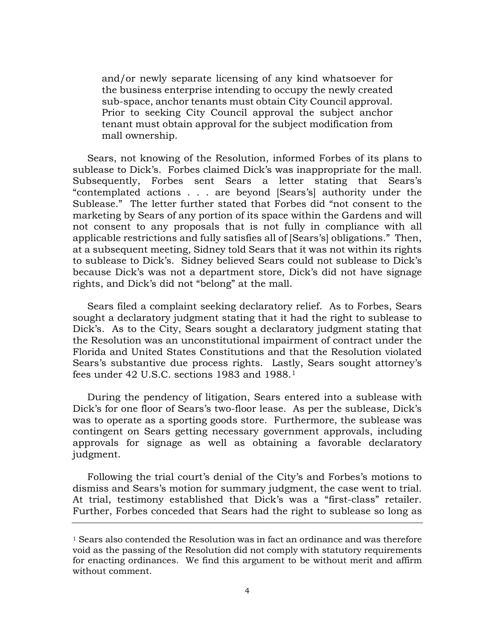and/or newly separate licensing of any kind whatsoever for the business enterprise intending to occupy the newly created sub-space, anchor tenants must obtain City Council approval. Prior to seeking City Council approval the subject anchor tenant must obtain approval for the subject modification from mall ownership.

Sears, not knowing of the Resolution, informed Forbes of its plans to sublease to Dick's. Forbes claimed Dick's was inappropriate for the mall. Subsequently, Forbes sent Sears a letter stating that Sears's "contemplated actions . . . are beyond [Sears's] authority under the Sublease." The letter further stated that Forbes did "not consent to the marketing by Sears of any portion of its space within the Gardens and will not consent to any proposals that is not fully in compliance with all applicable restrictions and fully satisfies all of [Sears's] obligations." Then, at a subsequent meeting, Sidney told Sears that it was not within its rights to sublease to Dick's. Sidney believed Sears could not sublease to Dick's because Dick's was not a department store, Dick's did not have signage rights, and Dick's did not "belong" at the mall.

Sears filed a complaint seeking declaratory relief. As to Forbes, Sears sought a declaratory judgment stating that it had the right to sublease to Dick's. As to the City, Sears sought a declaratory judgment stating that the Resolution was an unconstitutional impairment of contract under the Florida and United States Constitutions and that the Resolution violated Sears's substantive due process rights. Lastly, Sears sought attorney's fees under 42 U.S.C. sections 1983 and 1988.[1](#page-3-0)

During the pendency of litigation, Sears entered into a sublease with Dick's for one floor of Sears's two-floor lease. As per the sublease, Dick's was to operate as a sporting goods store. Furthermore, the sublease was contingent on Sears getting necessary government approvals, including approvals for signage as well as obtaining a favorable declaratory judgment.

Following the trial court's denial of the City's and Forbes's motions to dismiss and Sears's motion for summary judgment, the case went to trial. At trial, testimony established that Dick's was a "first-class" retailer. Further, Forbes conceded that Sears had the right to sublease so long as

<span id="page-3-0"></span> $1$  Sears also contended the Resolution was in fact an ordinance and was therefore void as the passing of the Resolution did not comply with statutory requirements for enacting ordinances. We find this argument to be without merit and affirm without comment.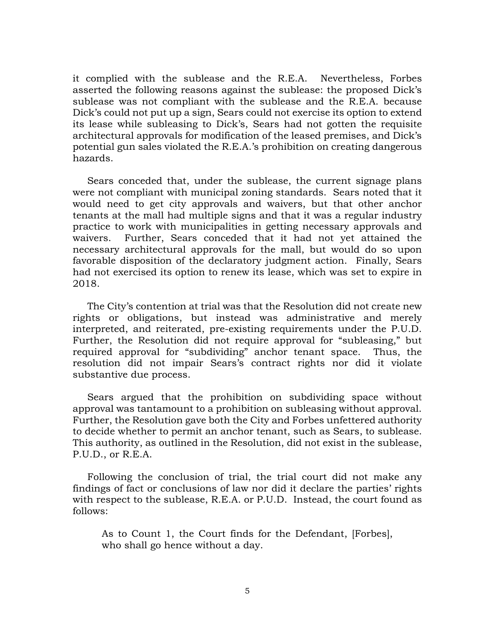it complied with the sublease and the R.E.A. Nevertheless, Forbes asserted the following reasons against the sublease: the proposed Dick's sublease was not compliant with the sublease and the R.E.A. because Dick's could not put up a sign, Sears could not exercise its option to extend its lease while subleasing to Dick's, Sears had not gotten the requisite architectural approvals for modification of the leased premises, and Dick's potential gun sales violated the R.E.A.'s prohibition on creating dangerous hazards.

Sears conceded that, under the sublease, the current signage plans were not compliant with municipal zoning standards. Sears noted that it would need to get city approvals and waivers, but that other anchor tenants at the mall had multiple signs and that it was a regular industry practice to work with municipalities in getting necessary approvals and waivers. Further, Sears conceded that it had not yet attained the necessary architectural approvals for the mall, but would do so upon favorable disposition of the declaratory judgment action. Finally, Sears had not exercised its option to renew its lease, which was set to expire in 2018.

The City's contention at trial was that the Resolution did not create new rights or obligations, but instead was administrative and merely interpreted, and reiterated, pre-existing requirements under the P.U.D. Further, the Resolution did not require approval for "subleasing," but required approval for "subdividing" anchor tenant space. Thus, the resolution did not impair Sears's contract rights nor did it violate substantive due process.

Sears argued that the prohibition on subdividing space without approval was tantamount to a prohibition on subleasing without approval. Further, the Resolution gave both the City and Forbes unfettered authority to decide whether to permit an anchor tenant, such as Sears, to sublease. This authority, as outlined in the Resolution, did not exist in the sublease, P.U.D., or R.E.A.

Following the conclusion of trial, the trial court did not make any findings of fact or conclusions of law nor did it declare the parties' rights with respect to the sublease, R.E.A. or P.U.D. Instead, the court found as follows:

As to Count 1, the Court finds for the Defendant, [Forbes], who shall go hence without a day.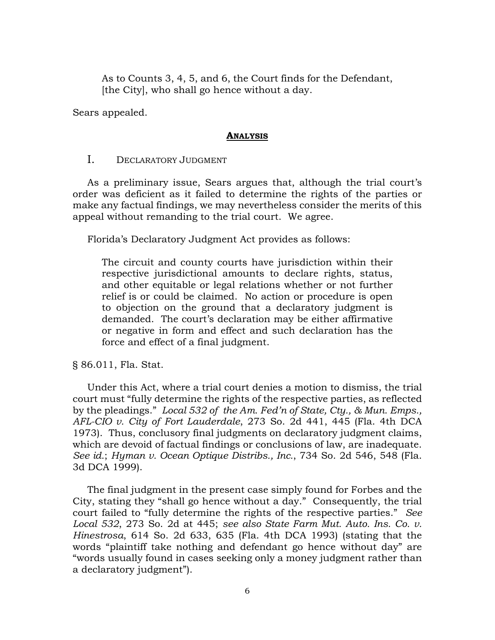As to Counts 3, 4, 5, and 6, the Court finds for the Defendant, [the City], who shall go hence without a day.

Sears appealed.

### **ANALYSIS**

# I. DECLARATORY JUDGMENT

As a preliminary issue, Sears argues that, although the trial court's order was deficient as it failed to determine the rights of the parties or make any factual findings, we may nevertheless consider the merits of this appeal without remanding to the trial court. We agree.

Florida's Declaratory Judgment Act provides as follows:

The circuit and county courts have jurisdiction within their respective jurisdictional amounts to declare rights, status, and other equitable or legal relations whether or not further relief is or could be claimed. No action or procedure is open to objection on the ground that a declaratory judgment is demanded. The court's declaration may be either affirmative or negative in form and effect and such declaration has the force and effect of a final judgment.

# § 86.011, Fla. Stat.

Under this Act, where a trial court denies a motion to dismiss, the trial court must "fully determine the rights of the respective parties, as reflected by the pleadings." *Local 532 of the Am. Fed'n of State, Cty., & Mun. Emps., AFL-CIO v. City of Fort Lauderdale*, 273 So. 2d 441, 445 (Fla. 4th DCA 1973). Thus, conclusory final judgments on declaratory judgment claims, which are devoid of factual findings or conclusions of law, are inadequate. *See id.*; *Hyman v. Ocean Optique Distribs., Inc.*, 734 So. 2d 546, 548 (Fla. 3d DCA 1999).

The final judgment in the present case simply found for Forbes and the City, stating they "shall go hence without a day." Consequently, the trial court failed to "fully determine the rights of the respective parties." *See Local 532*, 273 So. 2d at 445; *see also State Farm Mut. Auto. Ins. Co. v. Hinestrosa*, 614 So. 2d 633, 635 (Fla. 4th DCA 1993) (stating that the words "plaintiff take nothing and defendant go hence without day" are "words usually found in cases seeking only a money judgment rather than a declaratory judgment").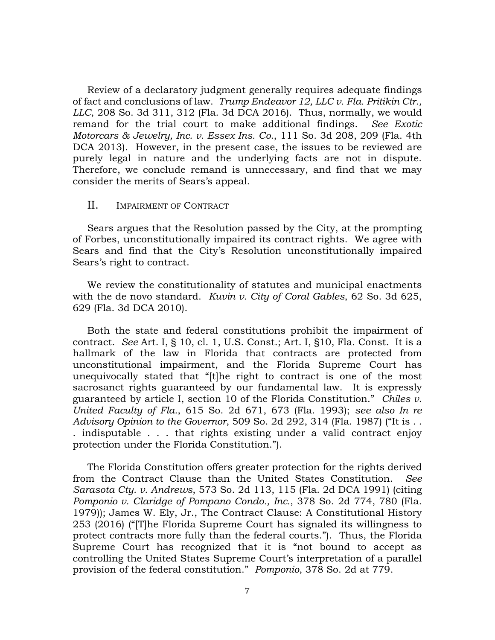Review of a declaratory judgment generally requires adequate findings of fact and conclusions of law. *Trump Endeavor 12, LLC v. Fla. Pritikin Ctr., LLC*, 208 So. 3d 311, 312 (Fla. 3d DCA 2016). Thus, normally, we would remand for the trial court to make additional findings. *See Exotic Motorcars & Jewelry, Inc. v. Essex Ins. Co.*, 111 So. 3d 208, 209 (Fla. 4th DCA 2013). However, in the present case, the issues to be reviewed are purely legal in nature and the underlying facts are not in dispute. Therefore, we conclude remand is unnecessary, and find that we may consider the merits of Sears's appeal.

## II. IMPAIRMENT OF CONTRACT

Sears argues that the Resolution passed by the City, at the prompting of Forbes, unconstitutionally impaired its contract rights. We agree with Sears and find that the City's Resolution unconstitutionally impaired Sears's right to contract.

We review the constitutionality of statutes and municipal enactments with the de novo standard. *Kuvin v. City of Coral Gables*, 62 So. 3d 625, 629 (Fla. 3d DCA 2010).

Both the state and federal constitutions prohibit the impairment of contract. *See* Art. I, § 10, cl. 1, U.S. Const.; Art. I, §10, Fla. Const. It is a hallmark of the law in Florida that contracts are protected from unconstitutional impairment, and the Florida Supreme Court has unequivocally stated that "[t]he right to contract is one of the most sacrosanct rights guaranteed by our fundamental law. It is expressly guaranteed by article I, section 10 of the Florida Constitution." *Chiles v. United Faculty of Fla.*, 615 So. 2d 671, 673 (Fla. 1993); *see also In re Advisory Opinion to the Governor*, 509 So. 2d 292, 314 (Fla. 1987) ("It is . . . indisputable . . . that rights existing under a valid contract enjoy protection under the Florida Constitution.").

The Florida Constitution offers greater protection for the rights derived from the Contract Clause than the United States Constitution. *See Sarasota Cty. v. Andrews*, 573 So. 2d 113, 115 (Fla. 2d DCA 1991) (citing *Pomponio v. Claridge of Pompano Condo., Inc.*, 378 So. 2d 774, 780 (Fla. 1979)); James W. Ely, Jr., The Contract Clause: A Constitutional History 253 (2016) ("[T]he Florida Supreme Court has signaled its willingness to protect contracts more fully than the federal courts."). Thus, the Florida Supreme Court has recognized that it is "not bound to accept as controlling the United States Supreme Court's interpretation of a parallel provision of the federal constitution." *Pomponio*, 378 So. 2d at 779.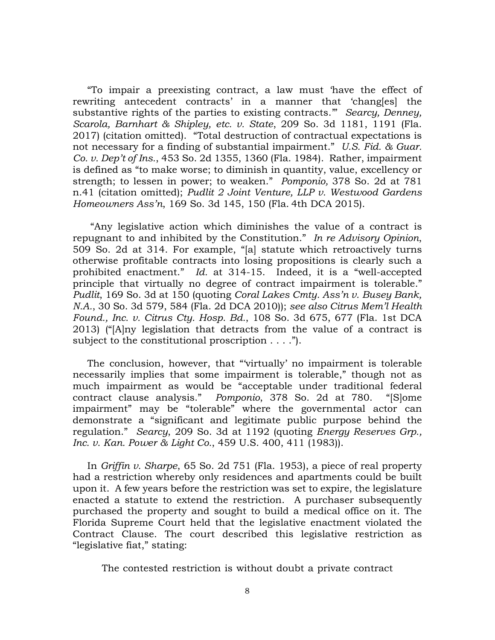"To impair a preexisting contract, a law must 'have the effect of rewriting antecedent contracts' in a manner that 'chang[es] the substantive rights of the parties to existing contracts.'" *Searcy, Denney, Scarola, Barnhart & Shipley, etc. v. State*, 209 So. 3d 1181, 1191 (Fla. 2017) (citation omitted). "Total destruction of contractual expectations is not necessary for a finding of substantial impairment." *U.S. Fid. & Guar. Co. v. Dep't of Ins.*, 453 So. 2d 1355, 1360 (Fla. 1984). Rather, impairment is defined as "to make worse; to diminish in quantity, value, excellency or strength; to lessen in power; to weaken." *Pomponio,* 378 So. 2d at 781 n.41 (citation omitted); *Pudlit 2 Joint Venture, LLP v. Westwood Gardens Homeowners Ass'n*, 169 So. 3d 145, 150 (Fla. 4th DCA 2015).

"Any legislative action which diminishes the value of a contract is repugnant to and inhibited by the Constitution." *In re Advisory Opinion*, 509 So. 2d at 314. For example, "[a] statute which retroactively turns otherwise profitable contracts into losing propositions is clearly such a prohibited enactment." *Id.* at 314-15. Indeed, it is a "well-accepted principle that virtually no degree of contract impairment is tolerable." *Pudlit*, 169 So. 3d at 150 (quoting *Coral Lakes Cmty. Ass'n v. Busey Bank, N.A.*, 30 So. 3d 579, 584 (Fla. 2d DCA 2010)); *see also Citrus Mem'l Health Found., Inc. v. Citrus Cty. Hosp. Bd.*, 108 So. 3d 675, 677 (Fla. 1st DCA 2013) ("[A]ny legislation that detracts from the value of a contract is subject to the constitutional proscription . . . .").

The conclusion, however, that "'virtually' no impairment is tolerable necessarily implies that some impairment is tolerable," though not as much impairment as would be "acceptable under traditional federal contract clause analysis." *Pomponio*, 378 So. 2d at 780. "[S]ome impairment" may be "tolerable" where the governmental actor can demonstrate a "significant and legitimate public purpose behind the regulation." *Searcy*, 209 So. 3d at 1192 (quoting *Energy Reserves Grp., Inc. v. Kan. Power & Light Co.*, 459 U.S. 400, 411 (1983)).

In *Griffin v. Sharpe*, 65 So. 2d 751 (Fla. 1953), a piece of real property had a restriction whereby only residences and apartments could be built upon it. A few years before the restriction was set to expire, the legislature enacted a statute to extend the restriction. A purchaser subsequently purchased the property and sought to build a medical office on it. The Florida Supreme Court held that the legislative enactment violated the Contract Clause. The court described this legislative restriction as "legislative fiat," stating:

The contested restriction is without doubt a private contract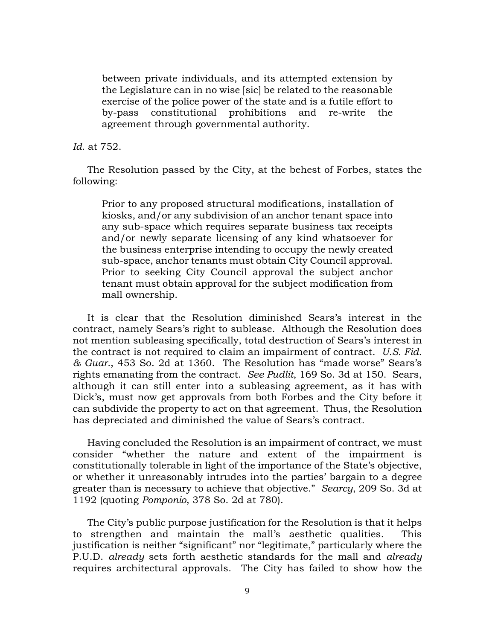between private individuals, and its attempted extension by the Legislature can in no wise [sic] be related to the reasonable exercise of the police power of the state and is a futile effort to by-pass constitutional prohibitions and re-write the agreement through governmental authority.

*Id.* at 752.

The Resolution passed by the City, at the behest of Forbes, states the following:

Prior to any proposed structural modifications, installation of kiosks, and/or any subdivision of an anchor tenant space into any sub-space which requires separate business tax receipts and/or newly separate licensing of any kind whatsoever for the business enterprise intending to occupy the newly created sub-space, anchor tenants must obtain City Council approval. Prior to seeking City Council approval the subject anchor tenant must obtain approval for the subject modification from mall ownership.

It is clear that the Resolution diminished Sears's interest in the contract, namely Sears's right to sublease. Although the Resolution does not mention subleasing specifically, total destruction of Sears's interest in the contract is not required to claim an impairment of contract. *U.S. Fid. & Guar.*, 453 So. 2d at 1360. The Resolution has "made worse" Sears's rights emanating from the contract. *See Pudlit*, 169 So. 3d at 150. Sears, although it can still enter into a subleasing agreement, as it has with Dick's, must now get approvals from both Forbes and the City before it can subdivide the property to act on that agreement. Thus, the Resolution has depreciated and diminished the value of Sears's contract.

Having concluded the Resolution is an impairment of contract, we must consider "whether the nature and extent of the impairment is constitutionally tolerable in light of the importance of the State's objective, or whether it unreasonably intrudes into the parties' bargain to a degree greater than is necessary to achieve that objective." *Searcy*, 209 So. 3d at 1192 (quoting *Pomponio*, 378 So. 2d at 780).

The City's public purpose justification for the Resolution is that it helps to strengthen and maintain the mall's aesthetic qualities. This justification is neither "significant" nor "legitimate," particularly where the P.U.D. *already* sets forth aesthetic standards for the mall and *already*  requires architectural approvals. The City has failed to show how the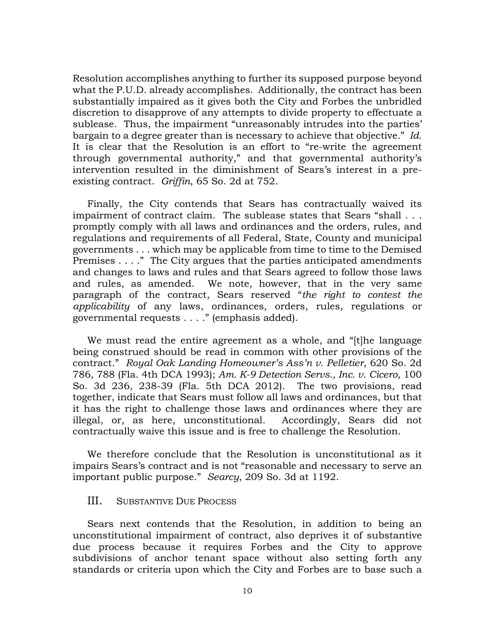Resolution accomplishes anything to further its supposed purpose beyond what the P.U.D. already accomplishes. Additionally, the contract has been substantially impaired as it gives both the City and Forbes the unbridled discretion to disapprove of any attempts to divide property to effectuate a sublease. Thus, the impairment "unreasonably intrudes into the parties' bargain to a degree greater than is necessary to achieve that objective." *Id.*  It is clear that the Resolution is an effort to "re-write the agreement through governmental authority," and that governmental authority's intervention resulted in the diminishment of Sears's interest in a preexisting contract. *Griffin*, 65 So. 2d at 752.

Finally, the City contends that Sears has contractually waived its impairment of contract claim. The sublease states that Sears "shall . . . promptly comply with all laws and ordinances and the orders, rules, and regulations and requirements of all Federal, State, County and municipal governments . . . which may be applicable from time to time to the Demised Premises . . . ." The City argues that the parties anticipated amendments and changes to laws and rules and that Sears agreed to follow those laws and rules, as amended. We note, however, that in the very same paragraph of the contract, Sears reserved "*the right to contest the applicability* of any laws, ordinances, orders, rules, regulations or governmental requests . . . ." (emphasis added).

We must read the entire agreement as a whole, and "[t]he language being construed should be read in common with other provisions of the contract." *Royal Oak Landing Homeowner's Ass'n v. Pelletier*, 620 So. 2d 786, 788 (Fla. 4th DCA 1993); *Am. K-9 Detection Servs., Inc. v. Cicero*, 100 So. 3d 236, 238-39 (Fla. 5th DCA 2012). The two provisions, read together, indicate that Sears must follow all laws and ordinances, but that it has the right to challenge those laws and ordinances where they are illegal, or, as here, unconstitutional. Accordingly, Sears did not contractually waive this issue and is free to challenge the Resolution.

We therefore conclude that the Resolution is unconstitutional as it impairs Sears's contract and is not "reasonable and necessary to serve an important public purpose." *Searcy*, 209 So. 3d at 1192.

## III. SUBSTANTIVE DUE PROCESS

Sears next contends that the Resolution, in addition to being an unconstitutional impairment of contract, also deprives it of substantive due process because it requires Forbes and the City to approve subdivisions of anchor tenant space without also setting forth any standards or criteria upon which the City and Forbes are to base such a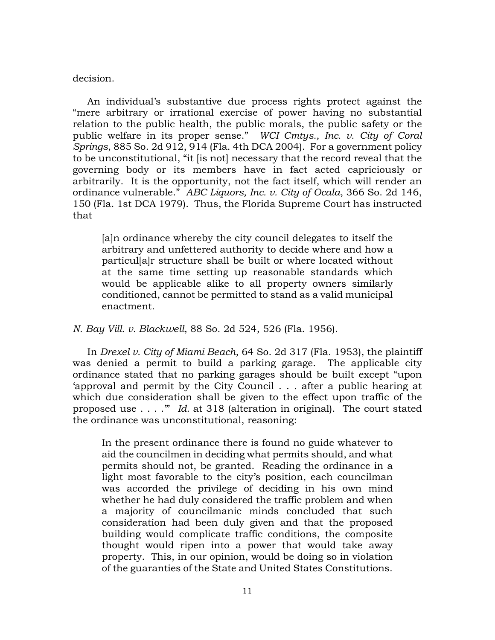#### decision.

An individual's substantive due process rights protect against the "mere arbitrary or irrational exercise of power having no substantial relation to the public health, the public morals, the public safety or the public welfare in its proper sense." *WCI Cmtys., Inc. v. City of Coral Springs*, 885 So. 2d 912, 914 (Fla. 4th DCA 2004). For a government policy to be unconstitutional, "it [is not] necessary that the record reveal that the governing body or its members have in fact acted capriciously or arbitrarily. It is the opportunity, not the fact itself, which will render an ordinance vulnerable." *ABC Liquors, Inc. v. City of Ocala*, 366 So. 2d 146, 150 (Fla. 1st DCA 1979). Thus, the Florida Supreme Court has instructed that

[a]n ordinance whereby the city council delegates to itself the arbitrary and unfettered authority to decide where and how a particul[a]r structure shall be built or where located without at the same time setting up reasonable standards which would be applicable alike to all property owners similarly conditioned, cannot be permitted to stand as a valid municipal enactment.

*N. Bay Vill. v. Blackwell*, 88 So. 2d 524, 526 (Fla. 1956).

In *Drexel v. City of Miami Beach*, 64 So. 2d 317 (Fla. 1953), the plaintiff was denied a permit to build a parking garage. The applicable city ordinance stated that no parking garages should be built except "upon 'approval and permit by the City Council . . . after a public hearing at which due consideration shall be given to the effect upon traffic of the proposed use . . . .'" *Id.* at 318 (alteration in original). The court stated the ordinance was unconstitutional, reasoning:

In the present ordinance there is found no guide whatever to aid the councilmen in deciding what permits should, and what permits should not, be granted. Reading the ordinance in a light most favorable to the city's position, each councilman was accorded the privilege of deciding in his own mind whether he had duly considered the traffic problem and when a majority of councilmanic minds concluded that such consideration had been duly given and that the proposed building would complicate traffic conditions, the composite thought would ripen into a power that would take away property. This, in our opinion, would be doing so in violation of the guaranties of the State and United States Constitutions.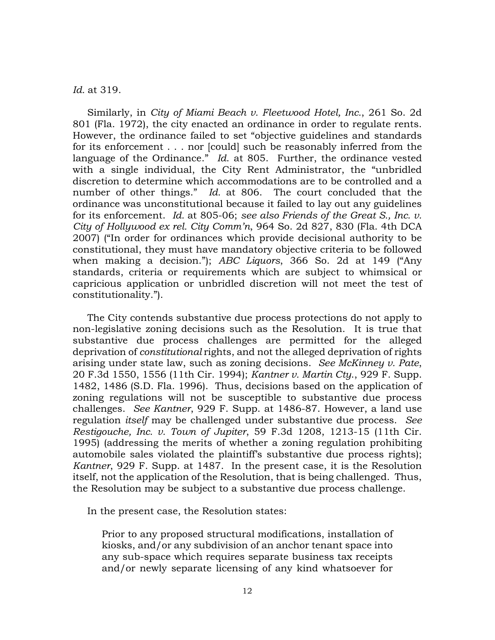*Id.* at 319.

Similarly, in *City of Miami Beach v. Fleetwood Hotel, Inc.*, 261 So. 2d 801 (Fla. 1972), the city enacted an ordinance in order to regulate rents. However, the ordinance failed to set "objective guidelines and standards for its enforcement . . . nor [could] such be reasonably inferred from the language of the Ordinance." *Id*. at 805. Further, the ordinance vested with a single individual, the City Rent Administrator, the "unbridled discretion to determine which accommodations are to be controlled and a number of other things." *Id.* at 806. The court concluded that the ordinance was unconstitutional because it failed to lay out any guidelines for its enforcement. *Id.* at 805-06; *see also Friends of the Great S., Inc. v. City of Hollywood ex rel. City Comm'n*, 964 So. 2d 827, 830 (Fla. 4th DCA 2007) ("In order for ordinances which provide decisional authority to be constitutional, they must have mandatory objective criteria to be followed when making a decision."); *ABC Liquors*, 366 So. 2d at 149 ("Any standards, criteria or requirements which are subject to whimsical or capricious application or unbridled discretion will not meet the test of constitutionality.").

The City contends substantive due process protections do not apply to non-legislative zoning decisions such as the Resolution. It is true that substantive due process challenges are permitted for the alleged deprivation of *constitutional* rights, and not the alleged deprivation of rights arising under state law, such as zoning decisions. *See McKinney v. Pate*, 20 F.3d 1550, 1556 (11th Cir. 1994); *Kantner v. Martin Cty*., 929 F. Supp. 1482, 1486 (S.D. Fla. 1996). Thus, decisions based on the application of zoning regulations will not be susceptible to substantive due process challenges. *See Kantner*, 929 F. Supp. at 1486-87. However, a land use regulation *itself* may be challenged under substantive due process. *See Restigouche, Inc. v. Town of Jupiter*, 59 F.3d 1208, 1213-15 (11th Cir. 1995) (addressing the merits of whether a zoning regulation prohibiting automobile sales violated the plaintiff's substantive due process rights); *Kantner*, 929 F. Supp. at 1487. In the present case, it is the Resolution itself, not the application of the Resolution, that is being challenged. Thus, the Resolution may be subject to a substantive due process challenge.

In the present case, the Resolution states:

Prior to any proposed structural modifications, installation of kiosks, and/or any subdivision of an anchor tenant space into any sub-space which requires separate business tax receipts and/or newly separate licensing of any kind whatsoever for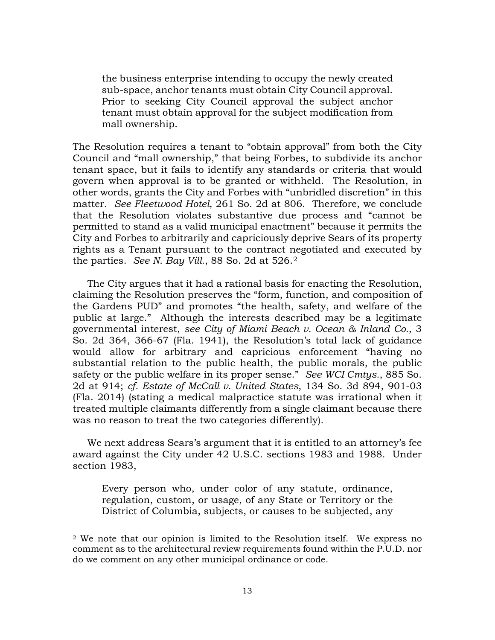the business enterprise intending to occupy the newly created sub-space, anchor tenants must obtain City Council approval. Prior to seeking City Council approval the subject anchor tenant must obtain approval for the subject modification from mall ownership.

The Resolution requires a tenant to "obtain approval" from both the City Council and "mall ownership," that being Forbes, to subdivide its anchor tenant space, but it fails to identify any standards or criteria that would govern when approval is to be granted or withheld. The Resolution, in other words, grants the City and Forbes with "unbridled discretion" in this matter. *See Fleetwood Hotel*, 261 So. 2d at 806. Therefore, we conclude that the Resolution violates substantive due process and "cannot be permitted to stand as a valid municipal enactment" because it permits the City and Forbes to arbitrarily and capriciously deprive Sears of its property rights as a Tenant pursuant to the contract negotiated and executed by the parties. *See N. Bay Vill.*, 88 So. 2d at 526.[2](#page-12-0) 

The City argues that it had a rational basis for enacting the Resolution, claiming the Resolution preserves the "form, function, and composition of the Gardens PUD" and promotes "the health, safety, and welfare of the public at large." Although the interests described may be a legitimate governmental interest, *see City of Miami Beach v. Ocean & Inland Co.*, 3 So. 2d 364, 366-67 (Fla. 1941), the Resolution's total lack of guidance would allow for arbitrary and capricious enforcement "having no substantial relation to the public health, the public morals, the public safety or the public welfare in its proper sense." *See WCI Cmtys.*, 885 So. 2d at 914; *cf. Estate of McCall v. United States*, 134 So. 3d 894, 901-03 (Fla. 2014) (stating a medical malpractice statute was irrational when it treated multiple claimants differently from a single claimant because there was no reason to treat the two categories differently).

We next address Sears's argument that it is entitled to an attorney's fee award against the City under 42 U.S.C. sections 1983 and 1988. Under section 1983,

Every person who, under color of any statute, ordinance, regulation, custom, or usage, of any State or Territory or the District of Columbia, subjects, or causes to be subjected, any

<span id="page-12-0"></span><sup>2</sup> We note that our opinion is limited to the Resolution itself. We express no comment as to the architectural review requirements found within the P.U.D. nor do we comment on any other municipal ordinance or code.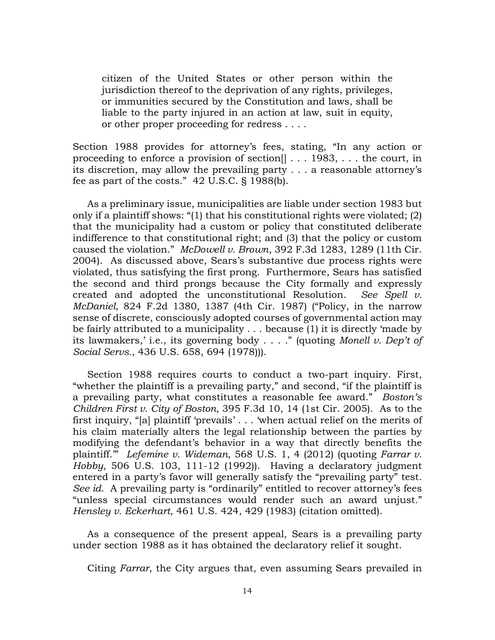citizen of the United States or other person within the jurisdiction thereof to the deprivation of any rights, privileges, or immunities secured by the Constitution and laws, shall be liable to the party injured in an action at law, suit in equity, or other proper proceeding for redress . . . .

Section 1988 provides for attorney's fees, stating, "In any action or proceeding to enforce a provision of section[] . . . 1983, . . . the court, in its discretion, may allow the prevailing party . . . a reasonable attorney's fee as part of the costs." 42 U.S.C. § 1988(b).

As a preliminary issue, municipalities are liable under section 1983 but only if a plaintiff shows: "(1) that his constitutional rights were violated; (2) that the municipality had a custom or policy that constituted deliberate indifference to that constitutional right; and (3) that the policy or custom caused the violation." *McDowell v. Brown*, 392 F.3d 1283, 1289 (11th Cir. 2004). As discussed above, Sears's substantive due process rights were violated, thus satisfying the first prong. Furthermore, Sears has satisfied the second and third prongs because the City formally and expressly created and adopted the unconstitutional Resolution. *See Spell v. McDaniel*, 824 F.2d 1380, 1387 (4th Cir. 1987) ("Policy, in the narrow sense of discrete, consciously adopted courses of governmental action may be fairly attributed to a municipality . . . because (1) it is directly 'made by its lawmakers,' i.e., its governing body . . . ." (quoting *Monell v. Dep't of Social Servs.*, 436 U.S. 658, 694 (1978))).

Section 1988 requires courts to conduct a two-part inquiry. First, "whether the plaintiff is a prevailing party," and second, "if the plaintiff is a prevailing party, what constitutes a reasonable fee award." *Boston's Children First v. City of Boston*, 395 F.3d 10, 14 (1st Cir. 2005). As to the first inquiry, "[a] plaintiff 'prevails' . . . 'when actual relief on the merits of his claim materially alters the legal relationship between the parties by modifying the defendant's behavior in a way that directly benefits the plaintiff.'" *Lefemine v. Wideman*, 568 U.S. 1, 4 (2012) (quoting *Farrar v. Hobby*, 506 U.S. 103, 111-12 (1992)). Having a declaratory judgment entered in a party's favor will generally satisfy the "prevailing party" test. *See id.* A prevailing party is "ordinarily" entitled to recover attorney's fees "unless special circumstances would render such an award unjust." *Hensley v. Eckerhart*, 461 U.S. 424, 429 (1983) (citation omitted).

As a consequence of the present appeal, Sears is a prevailing party under section 1988 as it has obtained the declaratory relief it sought.

Citing *Farrar*, the City argues that, even assuming Sears prevailed in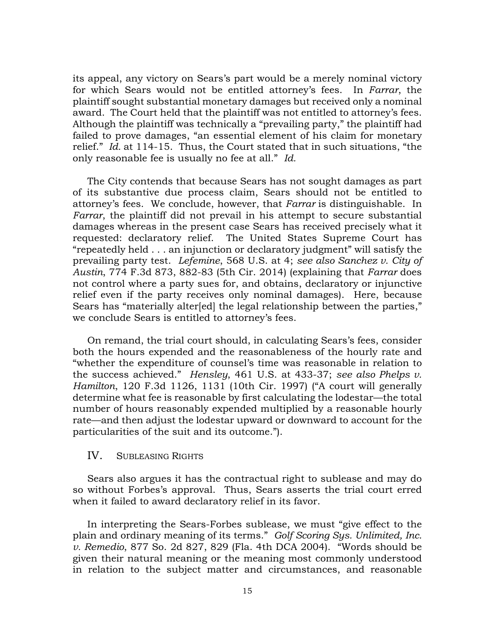its appeal, any victory on Sears's part would be a merely nominal victory for which Sears would not be entitled attorney's fees. In *Farrar*, the plaintiff sought substantial monetary damages but received only a nominal award. The Court held that the plaintiff was not entitled to attorney's fees. Although the plaintiff was technically a "prevailing party," the plaintiff had failed to prove damages, "an essential element of his claim for monetary relief." *Id.* at 114-15. Thus, the Court stated that in such situations, "the only reasonable fee is usually no fee at all." *Id.* 

The City contends that because Sears has not sought damages as part of its substantive due process claim, Sears should not be entitled to attorney's fees. We conclude, however, that *Farrar* is distinguishable. In *Farrar*, the plaintiff did not prevail in his attempt to secure substantial damages whereas in the present case Sears has received precisely what it requested: declaratory relief. The United States Supreme Court has "repeatedly held . . . an injunction or declaratory judgment" will satisfy the prevailing party test. *Lefemine*, 568 U.S. at 4; *see also Sanchez v. City of Austin*, 774 F.3d 873, 882-83 (5th Cir. 2014) (explaining that *Farrar* does not control where a party sues for, and obtains, declaratory or injunctive relief even if the party receives only nominal damages). Here, because Sears has "materially alter[ed] the legal relationship between the parties," we conclude Sears is entitled to attorney's fees.

On remand, the trial court should, in calculating Sears's fees, consider both the hours expended and the reasonableness of the hourly rate and "whether the expenditure of counsel's time was reasonable in relation to the success achieved." *Hensley*, 461 U.S. at 433-37; *see also Phelps v. Hamilton*, 120 F.3d 1126, 1131 (10th Cir. 1997) ("A court will generally determine what fee is reasonable by first calculating the lodestar—the total number of hours reasonably expended multiplied by a reasonable hourly rate—and then adjust the lodestar upward or downward to account for the particularities of the suit and its outcome.").

## IV. SUBLEASING RIGHTS

Sears also argues it has the contractual right to sublease and may do so without Forbes's approval. Thus, Sears asserts the trial court erred when it failed to award declaratory relief in its favor.

In interpreting the Sears-Forbes sublease, we must "give effect to the plain and ordinary meaning of its terms." *Golf Scoring Sys. Unlimited, Inc. v. Remedio*, 877 So. 2d 827, 829 (Fla. 4th DCA 2004). "Words should be given their natural meaning or the meaning most commonly understood in relation to the subject matter and circumstances, and reasonable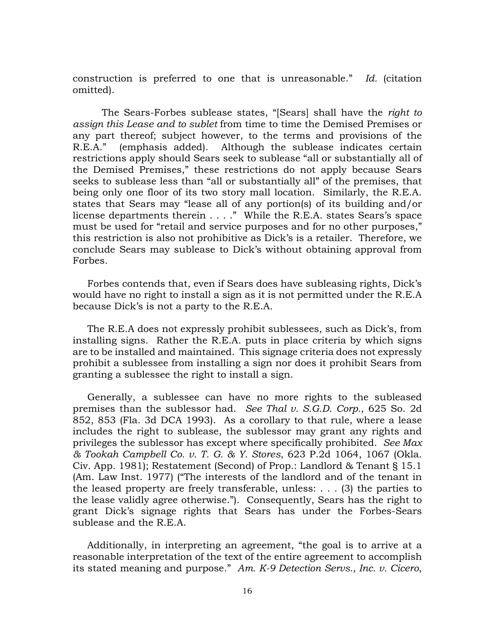construction is preferred to one that is unreasonable." *Id.* (citation omitted).

The Sears-Forbes sublease states, "[Sears] shall have the *right to assign this Lease and to sublet* from time to time the Demised Premises or any part thereof; subject however, to the terms and provisions of the R.E.A." (emphasis added). Although the sublease indicates certain restrictions apply should Sears seek to sublease "all or substantially all of the Demised Premises," these restrictions do not apply because Sears seeks to sublease less than "all or substantially all" of the premises, that being only one floor of its two story mall location. Similarly, the R.E.A. states that Sears may "lease all of any portion(s) of its building and/or license departments therein . . . ." While the R.E.A. states Sears's space must be used for "retail and service purposes and for no other purposes," this restriction is also not prohibitive as Dick's is a retailer. Therefore, we conclude Sears may sublease to Dick's without obtaining approval from Forbes.

Forbes contends that, even if Sears does have subleasing rights, Dick's would have no right to install a sign as it is not permitted under the R.E.A because Dick's is not a party to the R.E.A.

The R.E.A does not expressly prohibit sublessees, such as Dick's, from installing signs. Rather the R.E.A. puts in place criteria by which signs are to be installed and maintained. This signage criteria does not expressly prohibit a sublessee from installing a sign nor does it prohibit Sears from granting a sublessee the right to install a sign.

Generally, a sublessee can have no more rights to the subleased premises than the sublessor had. *See Thal v. S.G.D. Corp.*, 625 So. 2d 852, 853 (Fla. 3d DCA 1993). As a corollary to that rule, where a lease includes the right to sublease, the sublessor may grant any rights and privileges the sublessor has except where specifically prohibited. *See Max & Tookah Campbell Co. v. T. G. & Y. Stores*, 623 P.2d 1064, 1067 (Okla. Civ. App. 1981); Restatement (Second) of Prop.: Landlord & Tenant § 15.1 (Am. Law Inst. 1977) ("The interests of the landlord and of the tenant in the leased property are freely transferable, unless: . . . (3) the parties to the lease validly agree otherwise."). Consequently, Sears has the right to grant Dick's signage rights that Sears has under the Forbes-Sears sublease and the R.E.A.

Additionally, in interpreting an agreement, "the goal is to arrive at a reasonable interpretation of the text of the entire agreement to accomplish its stated meaning and purpose." *Am. K-9 Detection Servs., Inc. v. Cicero*,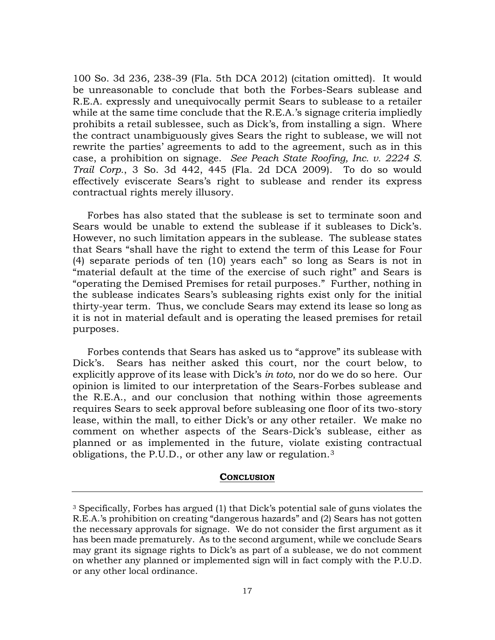100 So. 3d 236, 238-39 (Fla. 5th DCA 2012) (citation omitted). It would be unreasonable to conclude that both the Forbes-Sears sublease and R.E.A. expressly and unequivocally permit Sears to sublease to a retailer while at the same time conclude that the R.E.A.'s signage criteria impliedly prohibits a retail sublessee, such as Dick's, from installing a sign. Where the contract unambiguously gives Sears the right to sublease, we will not rewrite the parties' agreements to add to the agreement, such as in this case, a prohibition on signage. *See Peach State Roofing, Inc. v. 2224 S. Trail Corp.*, 3 So. 3d 442, 445 (Fla. 2d DCA 2009). To do so would effectively eviscerate Sears's right to sublease and render its express contractual rights merely illusory.

Forbes has also stated that the sublease is set to terminate soon and Sears would be unable to extend the sublease if it subleases to Dick's. However, no such limitation appears in the sublease. The sublease states that Sears "shall have the right to extend the term of this Lease for Four (4) separate periods of ten (10) years each" so long as Sears is not in "material default at the time of the exercise of such right" and Sears is "operating the Demised Premises for retail purposes." Further, nothing in the sublease indicates Sears's subleasing rights exist only for the initial thirty-year term. Thus, we conclude Sears may extend its lease so long as it is not in material default and is operating the leased premises for retail purposes.

Forbes contends that Sears has asked us to "approve" its sublease with Dick's. Sears has neither asked this court, nor the court below, to explicitly approve of its lease with Dick's *in toto*, nor do we do so here. Our opinion is limited to our interpretation of the Sears-Forbes sublease and the R.E.A., and our conclusion that nothing within those agreements requires Sears to seek approval before subleasing one floor of its two-story lease, within the mall, to either Dick's or any other retailer. We make no comment on whether aspects of the Sears-Dick's sublease, either as planned or as implemented in the future, violate existing contractual obligations, the P.U.D., or other any law or regulation.[3](#page-16-0)

#### **CONCLUSION**

<span id="page-16-0"></span><sup>3</sup> Specifically, Forbes has argued (1) that Dick's potential sale of guns violates the R.E.A.'s prohibition on creating "dangerous hazards" and (2) Sears has not gotten the necessary approvals for signage. We do not consider the first argument as it has been made prematurely. As to the second argument, while we conclude Sears may grant its signage rights to Dick's as part of a sublease, we do not comment on whether any planned or implemented sign will in fact comply with the P.U.D. or any other local ordinance.